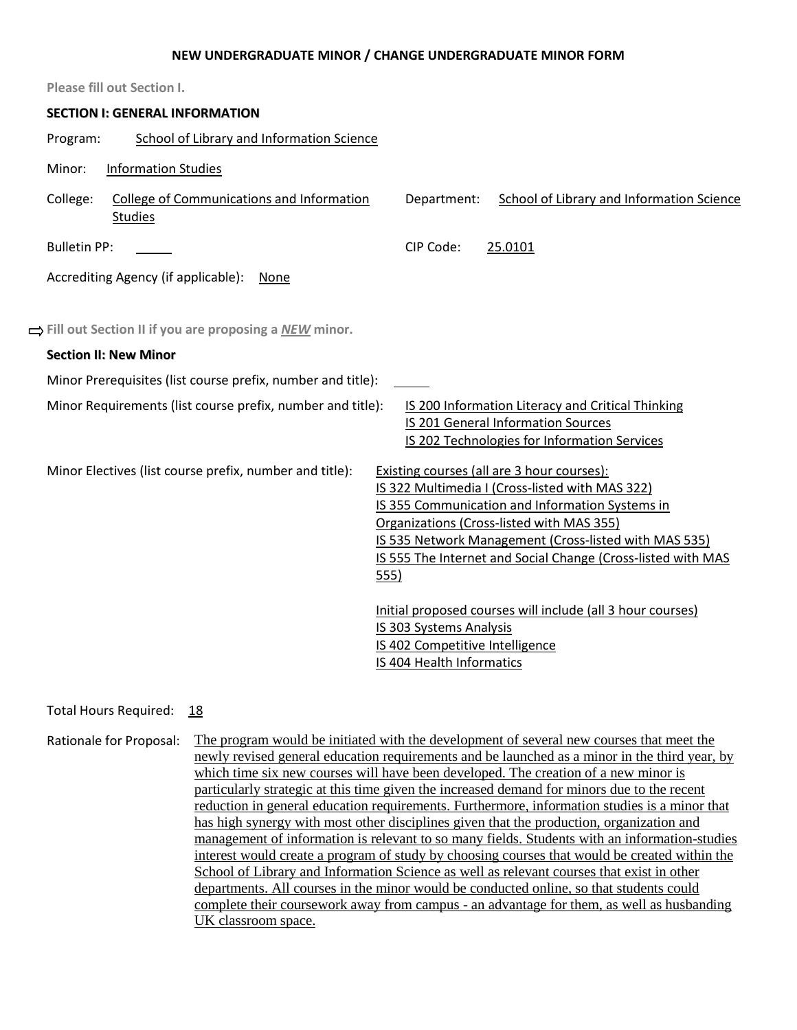#### **NEW UNDERGRADUATE MINOR / CHANGE UNDERGRADUATE MINOR FORM**

| <b>Please fill out Section I.</b>                                              |                                                                                                                                                                                                                                                                                                                                                                                                                                                                                                |
|--------------------------------------------------------------------------------|------------------------------------------------------------------------------------------------------------------------------------------------------------------------------------------------------------------------------------------------------------------------------------------------------------------------------------------------------------------------------------------------------------------------------------------------------------------------------------------------|
| <b>SECTION I: GENERAL INFORMATION</b>                                          |                                                                                                                                                                                                                                                                                                                                                                                                                                                                                                |
| School of Library and Information Science<br>Program:                          |                                                                                                                                                                                                                                                                                                                                                                                                                                                                                                |
| <b>Information Studies</b><br>Minor:                                           |                                                                                                                                                                                                                                                                                                                                                                                                                                                                                                |
| College:<br><b>College of Communications and Information</b><br><b>Studies</b> | <b>School of Library and Information Science</b><br>Department:                                                                                                                                                                                                                                                                                                                                                                                                                                |
| <b>Bulletin PP:</b>                                                            | CIP Code:<br>25.0101                                                                                                                                                                                                                                                                                                                                                                                                                                                                           |
| Accrediting Agency (if applicable): None                                       |                                                                                                                                                                                                                                                                                                                                                                                                                                                                                                |
|                                                                                |                                                                                                                                                                                                                                                                                                                                                                                                                                                                                                |
| ⇒ Fill out Section II if you are proposing a NEW minor.                        |                                                                                                                                                                                                                                                                                                                                                                                                                                                                                                |
| <b>Section II: New Minor</b>                                                   |                                                                                                                                                                                                                                                                                                                                                                                                                                                                                                |
| Minor Prerequisites (list course prefix, number and title):                    |                                                                                                                                                                                                                                                                                                                                                                                                                                                                                                |
| Minor Requirements (list course prefix, number and title):                     | IS 200 Information Literacy and Critical Thinking                                                                                                                                                                                                                                                                                                                                                                                                                                              |
|                                                                                | <b>IS 201 General Information Sources</b><br>IS 202 Technologies for Information Services                                                                                                                                                                                                                                                                                                                                                                                                      |
| Minor Electives (list course prefix, number and title):                        | <b>Existing courses (all are 3 hour courses):</b><br>IS 322 Multimedia I (Cross-listed with MAS 322)<br>IS 355 Communication and Information Systems in<br>Organizations (Cross-listed with MAS 355)<br>IS 535 Network Management (Cross-listed with MAS 535)<br>IS 555 The Internet and Social Change (Cross-listed with MAS<br>555)<br>Initial proposed courses will include (all 3 hour courses)<br>IS 303 Systems Analysis<br>IS 402 Competitive Intelligence<br>IS 404 Health Informatics |

Total Hours Required: 18

Rationale for Proposal: The program would be initiated with the development of several new courses that meet the newly revised general education requirements and be launched as a minor in the third year, by which time six new courses will have been developed. The creation of a new minor is particularly strategic at this time given the increased demand for minors due to the recent reduction in general education requirements. Furthermore, information studies is a minor that has high synergy with most other disciplines given that the production, organization and management of information is relevant to so many fields. Students with an information-studies interest would create a program of study by choosing courses that would be created within the School of Library and Information Science as well as relevant courses that exist in other departments. All courses in the minor would be conducted online, so that students could complete their coursework away from campus - an advantage for them, as well as husbanding UK classroom space.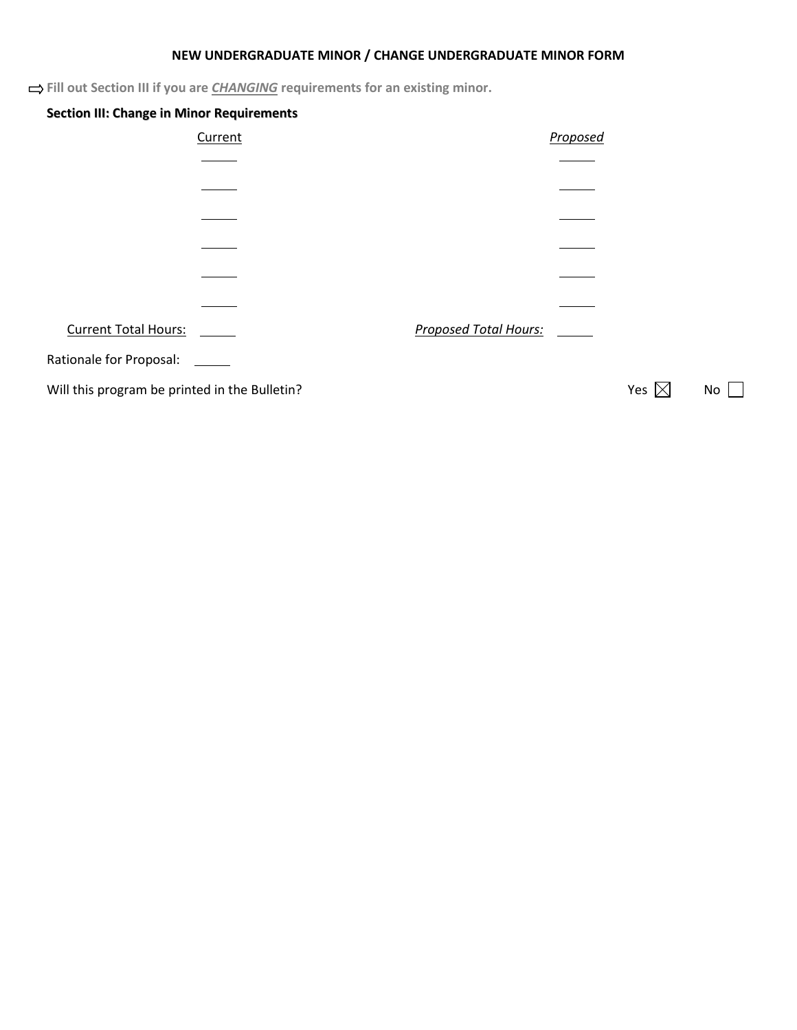# **NEW UNDERGRADUATE MINOR / CHANGE UNDERGRADUATE MINOR FORM**

 $\Rightarrow$  **Fill out Section III if you are** *CHANGING* **requirements for an existing minor.** 

| <b>Section III: Change in Minor Requirements</b> |         |                              |          |                 |     |
|--------------------------------------------------|---------|------------------------------|----------|-----------------|-----|
|                                                  | Current |                              | Proposed |                 |     |
|                                                  |         |                              |          |                 |     |
|                                                  |         |                              |          |                 |     |
|                                                  |         |                              |          |                 |     |
|                                                  |         |                              |          |                 |     |
|                                                  |         |                              |          |                 |     |
|                                                  |         |                              |          |                 |     |
| <b>Current Total Hours:</b>                      |         | <b>Proposed Total Hours:</b> |          |                 |     |
| Rationale for Proposal:                          |         |                              |          |                 |     |
| Will this program be printed in the Bulletin?    |         |                              |          | Yes $\boxtimes$ | No. |